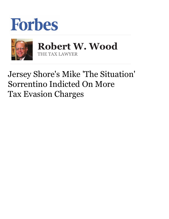



**Robert W. Wood Robert W. Wood** THE TAX LAWYER THE TAX LAWYER

## Jersey Shore's Mike 'The Situation' Sorrentino Indicted On More Tax Evasion Charges